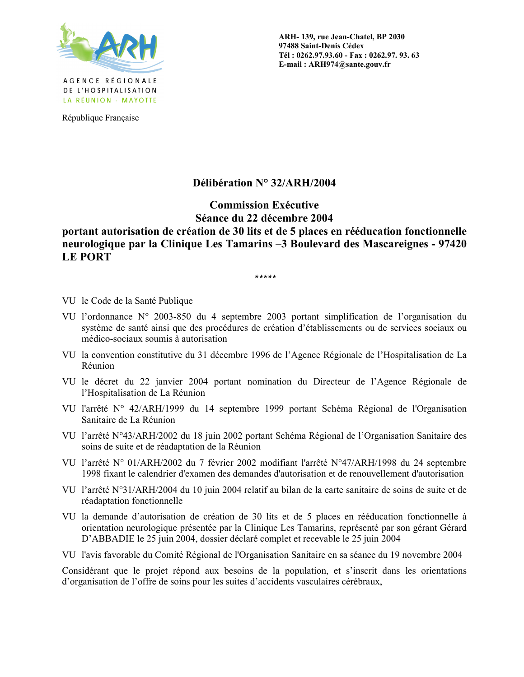

République Française

ARH-139, rue Jean-Chatel, BP 2030 97488 Saint-Denis Cédex Tél: 0262.97.93.60 - Fax: 0262.97.93.63 E-mail: ARH974@sante.gouv.fr

## Délibération N° 32/ARH/2004

## **Commission Exécutive** Séance du 22 décembre 2004

## portant autorisation de création de 30 lits et de 5 places en rééducation fonctionnelle neurologique par la Clinique Les Tamarins -3 Boulevard des Mascareignes - 97420 **LE PORT**

 $***$ \*\*

- VU le Code de la Santé Publique
- VU l'ordonnance N° 2003-850 du 4 septembre 2003 portant simplification de l'organisation du système de santé ainsi que des procédures de création d'établissements ou de services sociaux ou médico-sociaux soumis à autorisation
- VU la convention constitutive du 31 décembre 1996 de l'Agence Régionale de l'Hospitalisation de La Réunion
- VU le décret du 22 janvier 2004 portant nomination du Directeur de l'Agence Régionale de l'Hospitalisation de La Réunion
- VU l'arrêté N° 42/ARH/1999 du 14 septembre 1999 portant Schéma Régional de l'Organisation Sanitaire de La Réunion
- VU l'arrêté N°43/ARH/2002 du 18 juin 2002 portant Schéma Régional de l'Organisation Sanitaire des soins de suite et de réadaptation de la Réunion
- VU l'arrêté N° 01/ARH/2002 du 7 février 2002 modifiant l'arrêté N°47/ARH/1998 du 24 septembre 1998 fixant le calendrier d'examen des demandes d'autorisation et de renouvellement d'autorisation
- VU l'arrêté N°31/ARH/2004 du 10 juin 2004 relatif au bilan de la carte sanitaire de soins de suite et de réadaptation fonctionnelle
- VU la demande d'autorisation de création de 30 lits et de 5 places en rééducation fonctionnelle à orientation neurologique présentée par la Clinique Les Tamarins, représenté par son gérant Gérard D'ABBADIE le 25 juin 2004, dossier déclaré complet et recevable le 25 juin 2004
- VU l'avis favorable du Comité Régional de l'Organisation Sanitaire en sa séance du 19 novembre 2004

Considérant que le projet répond aux besoins de la population, et s'inscrit dans les orientations d'organisation de l'offre de soins pour les suites d'accidents vasculaires cérébraux,